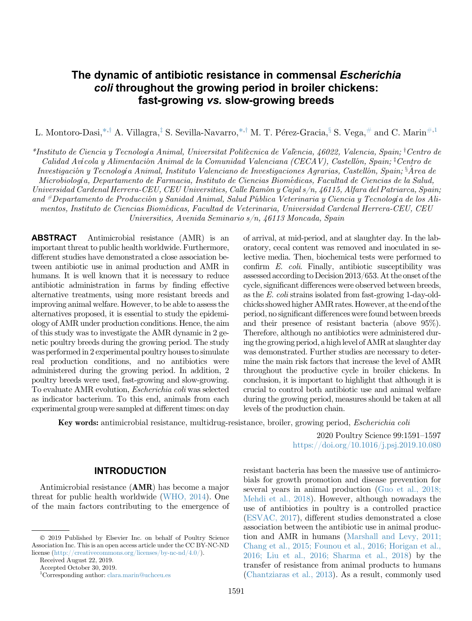# The dynamic of antibiotic resistance in commensal Escherichia coli throughout the growing period in broiler chickens: fast-growing vs. slow-growing breeds

L. Montoro-Dasi,<sup>\*,†</sup> A. Villagra,<sup>†</sup> S. Sevilla-Navarro,<sup>\*,†</sup> M. T. Pére[z](#page-0-1)-Gracia,<sup>§</sup> S. Vega,<sup>[#](#page-0-3)</sup> and C. Marin<sup>[#,](#page-0-3)[1](#page-0-4)</sup>

<span id="page-0-2"></span><span id="page-0-1"></span><span id="page-0-0"></span>\*Instituto de Ciencia [y](#page-0-4) Tecnología Animal, Universitat Politècnica de València, 46022, Valencia, Spain; <sup>†</sup>Centro de Calidad Avícola y Alimentación Animal de la Comunidad Valenciana (CECAV), Castellón, Spain; <sup>†</sup>Centro de Investigación y Tecnología Animal, Instituto Valenciano de Investigaciones Agrarias, Castellón, Spain; §Área de Microbiología, Departamento de Farmacia, Instituto de Ciencias Biomedicas, Facultad de Ciencias de la Salud, Universidad Cardenal Herrera-CEU, CEU Universities, Calle Ramon y Cajal s/n, 46115, Alfara del Patriarca, Spain; and #Departamento de Producción y Sanidad Animal, Salud Pública Veterinaria y Ciencia y Tecnología de los Alimentos, Instituto de Ciencias Biomedicas, Facultad de Veterinaria, Universidad Cardenal Herrera-CEU, CEU Universities, Avenida Seminario s/n, 46113 Moncada, Spain

<span id="page-0-3"></span>ABSTRACT Antimicrobial resistance (AMR) is an important threat to public health worldwide. Furthermore, different studies have demonstrated a close association between antibiotic use in animal production and AMR in humans. It is well known that it is necessary to reduce antibiotic administration in farms by finding effective alternative treatments, using more resistant breeds and improving animal welfare. However, to be able to assess the alternatives proposed, it is essential to study the epidemiology of AMR under production conditions. Hence, the aim of this study was to investigate the AMR dynamic in 2 genetic poultry breeds during the growing period. The study was performed in 2 experimental poultry houses to simulate real production conditions, and no antibiotics were administered during the growing period. In addition, 2 poultry breeds were used, fast-growing and slow-growing. To evaluate AMR evolution, Escherichia coli was selected as indicator bacterium. To this end, animals from each experimental group were sampled at different times: on day

of arrival, at mid-period, and at slaughter day. In the laboratory, cecal content was removed and inoculated in selective media. Then, biochemical tests were performed to confirm E. coli. Finally, antibiotic susceptibility was assessed according to Decision 2013/653. At the onset of the cycle, significant differences were observed between breeds, as the E. coli strains isolated from fast-growing 1-day-oldchicks showed higher AMR rates. However, at the end of the period, no significant differences were found between breeds and their presence of resistant bacteria (above 95%). Therefore, although no antibiotics were administered during the growing period, a high level of AMR at slaughter day was demonstrated. Further studies are necessary to determine the main risk factors that increase the level of AMR throughout the productive cycle in broiler chickens. In conclusion, it is important to highlight that although it is crucial to control both antibiotic use and animal welfare during the growing period, measures should be taken at all levels of the production chain.

Key words: antimicrobial resistance, multidrug-resistance, broiler, growing period, Escherichia coli

2020 Poultry Science 99:1591–1597 <https://doi.org/10.1016/j.psj.2019.10.080>

#### INTRODUCTION

Antimicrobial resistance (AMR) has become a major threat for public health worldwide ([WHO, 2014](#page-6-0)). One of the main factors contributing to the emergence of resistant bacteria has been the massive use of antimicrobials for growth promotion and disease prevention for several years in animal production [\(Guo et al., 2018;](#page-5-0) [Mehdi et al., 2018](#page-5-0)). However, although nowadays the use of antibiotics in poultry is a controlled practice [\(ESVAC, 2017\)](#page-5-1), different studies demonstrated a close association between the antibiotic use in animal production and AMR in humans [\(Marshall and Levy, 2011;](#page-6-1) [Chang et al., 2015; Founou et al., 2016; Horigan et al.,](#page-6-1) [2016; Liu et al., 2016; Sharma et al., 2018\)](#page-6-1) by the transfer of resistance from animal products to humans [\(Chantziaras et al., 2013\)](#page-5-2). As a result, commonly used

2019 Published by Elsevier Inc. on behalf of Poultry Science Association Inc. This is an open access article under the CC BY-NC-ND license [\(http://creativecommons.org/licenses/by-nc-nd/4.0/\)](http://creativecommons.org/licenses/by-nc-nd/4.0/).

Received August 22, 2019.

Accepted October 30, 2019.

<span id="page-0-4"></span><sup>1</sup> Corresponding author: [clara.marin@uchceu.es](mailto:clara.marin@uchceu.es)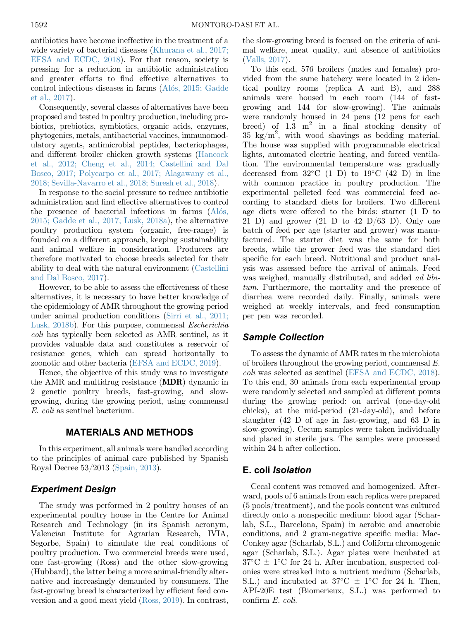antibiotics have become ineffective in the treatment of a wide variety of bacterial diseases [\(Khurana et al., 2017;](#page-6-2) [EFSA and ECDC, 2018\)](#page-6-2). For that reason, society is pressing for a reduction in antibiotic administration and greater efforts to find effective alternatives to control infectious diseases in farms ([Al](#page-5-3)ó[s, 2015; Gadde](#page-5-3) [et al., 2017](#page-5-3)).

Consequently, several classes of alternatives have been proposed and tested in poultry production, including probiotics, prebiotics, symbiotics, organic acids, enzymes, phytogenics, metals, antibacterial vaccines, immunomodulatory agents, antimicrobial peptides, bacteriophages, and different broiler chicken growth systems [\(Hancock](#page-5-4) [et al., 2012; Cheng et al., 2014; Castellini and Dal](#page-5-4) [Bosco, 2017; Polycarpo et al., 2017; Alagawany et al.,](#page-5-4) [2018; Sevilla-Navarro et al., 2018; Suresh et al., 2018](#page-5-4)).

In response to the social pressure to reduce antibiotic administration and find effective alternatives to control the presence of bacterial infections in farms ([Al](#page-5-3)ó[s,](#page-5-3) [2015; Gadde et al., 2017; Lusk, 2018a](#page-5-3)), the alternative poultry production system (organic, free-range) is founded on a different approach, keeping sustainability and animal welfare in consideration. Producers are therefore motivated to choose breeds selected for their ability to deal with the natural environment ([Castellini](#page-5-5) [and Dal Bosco, 2017](#page-5-5)).

However, to be able to assess the effectiveness of these alternatives, it is necessary to have better knowledge of the epidemiology of AMR throughout the growing period under animal production conditions [\(Sirri et al., 2011;](#page-6-3) [Lusk, 2018b](#page-6-3)). For this purpose, commensal Escherichia coli has typically been selected as AMR sentinel, as it provides valuable data and constitutes a reservoir of resistance genes, which can spread horizontally to zoonotic and other bacteria [\(EFSA and ECDC, 2019\)](#page-5-6).

Hence, the objective of this study was to investigate the AMR and multidrug resistance (MDR) dynamic in 2 genetic poultry breeds, fast-growing, and slowgrowing, during the growing period, using commensal E. coli as sentinel bacterium.

#### MATERIALS AND METHODS

In this experiment, all animals were handled according to the principles of animal care published by Spanish Royal Decree 53/2013 [\(Spain, 2013\)](#page-6-4).

# Experiment Design

The study was performed in 2 poultry houses of an experimental poultry house in the Centre for Animal Research and Technology (in its Spanish acronym, Valencian Institute for Agrarian Research, IVIA, Segorbe, Spain) to simulate the real conditions of poultry production. Two commercial breeds were used, one fast-growing (Ross) and the other slow-growing (Hubbard), the latter being a more animal-friendly alternative and increasingly demanded by consumers. The fast-growing breed is characterized by efficient feed conversion and a good meat yield [\(Ross, 2019\)](#page-6-5). In contrast,

the slow-growing breed is focused on the criteria of animal welfare, meat quality, and absence of antibiotics [\(Valls, 2017](#page-6-6)).

To this end, 576 broilers (males and females) provided from the same hatchery were located in 2 identical poultry rooms (replica A and B), and 288 animals were housed in each room (144 of fastgrowing and 144 for slow-growing). The animals were randomly housed in 24 pens (12 pens for each breed) of 1.3  $m^2$  in a final stocking density of  $35 \text{ kg/m}^2$ , with wood shavings as bedding material. The house was supplied with programmable electrical lights, automated electric heating, and forced ventilation. The environmental temperature was gradually decreased from  $32^{\circ}$ C (1 D) to  $19^{\circ}$ C (42 D) in line with common practice in poultry production. The experimental pelleted feed was commercial feed according to standard diets for broilers. Two different age diets were offered to the birds: starter (1 D to 21 D) and grower  $(21 \text{ D to } 42 \text{ D}/63 \text{ D})$ . Only one batch of feed per age (starter and grower) was manufactured. The starter diet was the same for both breeds, while the grower feed was the standard diet specific for each breed. Nutritional and product analysis was assessed before the arrival of animals. Feed was weighed, manually distributed, and added ad libitum. Furthermore, the mortality and the presence of diarrhea were recorded daily. Finally, animals were weighed at weekly intervals, and feed consumption per pen was recorded.

## Sample Collection

To assess the dynamic of AMR rates in the microbiota of broilers throughout the growing period, commensal E. coli was selected as sentinel [\(EFSA and ECDC, 2018](#page-5-7)). To this end, 30 animals from each experimental group were randomly selected and sampled at different points during the growing period: on arrival (one-day-old chicks), at the mid-period (21-day-old), and before slaughter (42 D of age in fast-growing, and 63 D in slow-growing). Cecum samples were taken individually and placed in sterile jars. The samples were processed within 24 h after collection.

## E. coli Isolation

Cecal content was removed and homogenized. Afterward, pools of 6 animals from each replica were prepared (5 pools/treatment), and the pools content was cultured directly onto a nonspecific medium: blood agar (Scharlab, S.L., Barcelona, Spain) in aerobic and anaerobic conditions, and 2 gram-negative specific media: Mac-Conkey agar (Scharlab, S.L.) and Coliform chromogenic agar (Scharlab, S.L.). Agar plates were incubated at  $37^{\circ}\text{C} \pm 1^{\circ}\text{C}$  for 24 h. After incubation, suspected colonies were streaked into a nutrient medium (Scharlab, S.L.) and incubated at  $37^{\circ}$ C  $\pm$  1°C for 24 h. Then, API-20E test (Biomerieux, S.L.) was performed to confirm E. coli.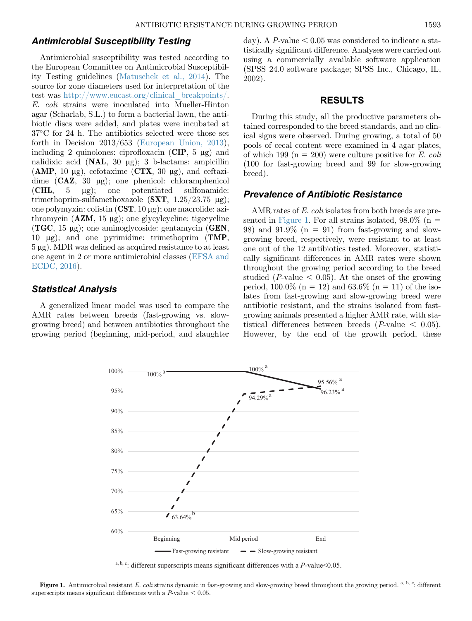### Antimicrobial Susceptibility Testing

Antimicrobial susceptibility was tested according to the European Committee on Antimicrobial Susceptibility Testing guidelines ([Matuschek et al., 2014](#page-6-7)). The source for zone diameters used for interpretation of the test was [http://www.eucast.org/clinical\\_breakpoints/.](http://www.eucast.org/clinical_breakpoints/) E. coli strains were inoculated into Mueller-Hinton agar (Scharlab, S.L.) to form a bacterial lawn, the antibiotic discs were added, and plates were incubated at 37-C for 24 h. The antibiotics selected were those set forth in Decision 2013/653 ([European Union, 2013\)](#page-5-8), including 2 quinolones: ciprofloxacin  $(CIP, 5 \mu g)$  and nalidixic acid (NAL, 30 µg); 3 b-lactams: ampicillin  $(AMP, 10 µg)$ , cefotaxime  $(CTX, 30 µg)$ , and ceftazidime  $(CAZ, 30 \mu g)$ ; one phenicol: chloramphenicol  $(CHL, 5 \mu g);$  one potentiated sulfonamide: trimethoprim-sulfamethoxazole  $(SXT, 1.25/23.75 \mu g);$ one polymyxin: colistin  $(CST, 10 \mu g)$ ; one macrolide: azithromycin  $(AZM, 15 \mu g)$ ; one glycylcycline: tigecycline  $(TGC, 15 \mu g)$ ; one aminoglycoside: gentamycin  $(GEN,$ 10  $\mu$ g); and one pyrimidine: trimethoprim (**TMP**,  $5 \mu$ g). MDR was defined as acquired resistance to at least one agent in 2 or more antimicrobial classes [\(EFSA and](#page-5-9) [ECDC, 2016\)](#page-5-9).

## Statistical Analysis

<span id="page-2-0"></span>A generalized linear model was used to compare the AMR rates between breeds (fast-growing vs. slowgrowing breed) and between antibiotics throughout the growing period (beginning, mid-period, and slaughter day). A P-value  $< 0.05$  was considered to indicate a statistically significant difference. Analyses were carried out using a commercially available software application (SPSS 24.0 software package; SPSS Inc., Chicago, IL, 2002).

#### RESULTS

During this study, all the productive parameters obtained corresponded to the breed standards, and no clinical signs were observed. During growing, a total of 50 pools of cecal content were examined in 4 agar plates, of which 199 ( $n = 200$ ) were culture positive for E. coli (100 for fast-growing breed and 99 for slow-growing breed).

## Prevalence of Antibiotic Resistance

AMR rates of E. coli isolates from both breeds are pre-sented in [Figure 1.](#page-2-0) For all strains isolated,  $98.0\%$  (n = 98) and  $91.9\%$  (n = 91) from fast-growing and slowgrowing breed, respectively, were resistant to at least one out of the 12 antibiotics tested. Moreover, statistically significant differences in AMR rates were shown throughout the growing period according to the breed studied (*P*-value  $< 0.05$ ). At the onset of the growing period, 100.0% (n = 12) and 63.6% (n = 11) of the isolates from fast-growing and slow-growing breed were antibiotic resistant, and the strains isolated from fastgrowing animals presented a higher AMR rate, with statistical differences between breeds (*P*-value  $\leq$  0.05). However, by the end of the growth period, these



a, b, c: different superscripts means significant differences with a *P*-value < 0.05.

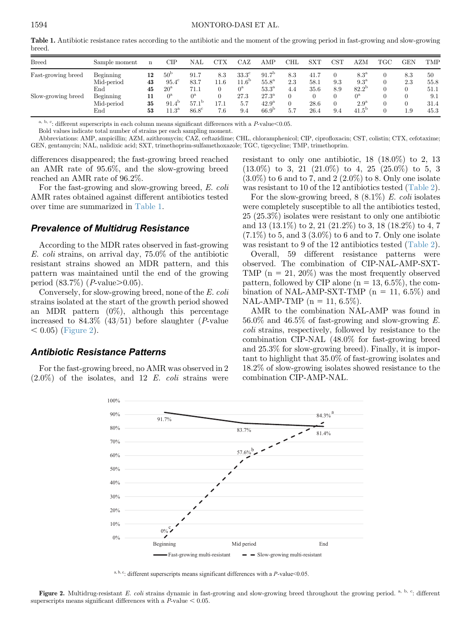<span id="page-3-0"></span>Table 1. Antibiotic resistance rates according to the antibiotic and the moment of the growing period in fast-growing and slow-growing breed.

| <b>Breed</b>       | Sample moment                  | n              | СIР                                                | $_{\rm NAL}$                                | ${\rm CTX}$ | CAZ                               | AMP                                                      | $_{\rm CHL}$ | $\mathop{\rm SXT}\nolimits$ | $_{\rm{CST}}$ | AZM                                            | $_{\rm TGC}$ | <b>GEN</b> | <b>TMP</b>          |
|--------------------|--------------------------------|----------------|----------------------------------------------------|---------------------------------------------|-------------|-----------------------------------|----------------------------------------------------------|--------------|-----------------------------|---------------|------------------------------------------------|--------------|------------|---------------------|
| Fast-growing breed | Beginning<br>Mid-period        | 12<br>43       | 50 <sup>b</sup><br>$95.4^\circ$                    | 91.7<br>83.7                                | 8.3<br>11.6 | $33.3^\circ$<br>11.6 <sup>b</sup> | 91.7 <sup>b</sup><br>$55.8^{\mathrm{a}}$                 | 8.3<br>2.3   | 41.7<br>58.1                | 9.3           | $8.3^{\rm a}$<br>$9.3^{\mathrm{a}}$            |              | 8.3<br>2.3 | 50<br>55.8          |
|                    | $_{\rm End}$                   | 45             | $20^{\rm a}$                                       | 71.1                                        |             | $0^{\rm a}$                       | $53.3^{\mathrm{a}}$                                      | 4.4          | 35.6                        | 8.9           | $82.2^{\rm b}$                                 |              |            | 51.1                |
| Slow-growing breed | Beginning<br>Mid-period<br>End | 11<br>35<br>53 | $0^{\rm a}$<br>$91.4^{\circ}$<br>11.3 <sup>a</sup> | $0^{\rm a}$<br>57.1<br>-1 D<br>$86.8^\circ$ | 17.1<br>7.6 | 27.3<br>5.7<br>9.4                | $27.3^{\rm a}$<br>42.9 <sup>a</sup><br>66.9 <sup>b</sup> | 5.7          | 28.6<br>26.4                | 9.4           | $0^{\rm a}$<br>$2.9^{\rm a}$<br>$41.5^{\circ}$ |              | 1.9        | 9.1<br>31.4<br>45.3 |

 $^{\rm a,\ b,\ c}$ : different superscripts in each column means significant differences with a P-value<0.05.

Bold values indicate total number of strains per each sampling moment.

Abbreviations: AMP, ampicillin; AZM, azithromycin; CAZ, ceftazidime; CHL, chloramphenicol; CIP, ciprofloxacin; CST, colistin; CTX, cefotaxime; GEN, gentamycin; NAL, nalidixic acid; SXT, trimethoprim-sulfamethoxazole; TGC, tigecycline; TMP, trimethoprim.

differences disappeared; the fast-growing breed reached an AMR rate of 95.6%, and the slow-growing breed reached an AMR rate of 96.2%.

For the fast-growing and slow-growing breed, E. coli AMR rates obtained against different antibiotics tested over time are summarized in [Table 1.](#page-3-0)

# Prevalence of Multidrug Resistance

According to the MDR rates observed in fast-growing E. coli strains, on arrival day, 75.0% of the antibiotic resistant strains showed an MDR pattern, and this pattern was maintained until the end of the growing period  $(83.7\%)$  (*P*-value $>0.05$ ).

Conversely, for slow-growing breed, none of the E. coli strains isolated at the start of the growth period showed an MDR pattern  $(0\%)$ , although this percentage increased to  $84.3\%$  ( $43/51$ ) before slaughter (*P*-value  $( 0.05)$  [\(Figure 2\)](#page-3-1).

#### Antibiotic Resistance Patterns

<span id="page-3-1"></span>For the fast-growing breed, no AMR was observed in 2  $(2.0\%)$  of the isolates, and 12 E. coli strains were resistant to only one antibiotic,  $18$   $(18.0\%)$  to 2, 13  $(13.0\%)$  to 3, 21  $(21.0\%)$  to 4, 25  $(25.0\%)$  to 5, 3  $(3.0\%)$  to 6 and to 7, and 2  $(2.0\%)$  to 8. Only one isolate was resistant to 10 of the 12 antibiotics tested [\(Table 2](#page-4-0)).

For the slow-growing breed,  $8(8.1\%)$  E. coli isolates were completely susceptible to all the antibiotics tested, 25 (25.3%) isolates were resistant to only one antibiotic and 13 (13.1%) to 2, 21 (21.2%) to 3, 18 (18.2%) to 4, 7  $(7.1\%)$  to 5, and 3  $(3.0\%)$  to 6 and to 7. Only one isolate was resistant to 9 of the 12 antibiotics tested ([Table 2](#page-4-0)).

Overall, 59 different resistance patterns were observed. The combination of CIP-NAL-AMP-SXT-TMP  $(n = 21, 20\%)$  was the most frequently observed pattern, followed by CIP alone  $(n = 13, 6.5\%)$ , the combination of NAL-AMP-SXT-TMP ( $n = 11, 6.5\%$ ) and NAL-AMP-TMP ( $n = 11, 6.5\%$ ).

AMR to the combination NAL-AMP was found in  $56.0\%$  and  $46.5\%$  of fast-growing and slow-growing E. coli strains, respectively, followed by resistance to the combination CIP-NAL (48.0% for fast-growing breed and 25.3% for slow-growing breed). Finally, it is important to highlight that 35.0% of fast-growing isolates and 18.2% of slow-growing isolates showed resistance to the combination CIP-AMP-NAL.



a, b, c: different superscripts means significant differences with a *P*-value<0.05.

Figure 2. Multidrug-resistant E. coli strains dynamic in fast-growing and slow-growing breed throughout the growing period.  $a, b, c$ : different superscripts means significant differences with a  $P$ -value  $< 0.05$ .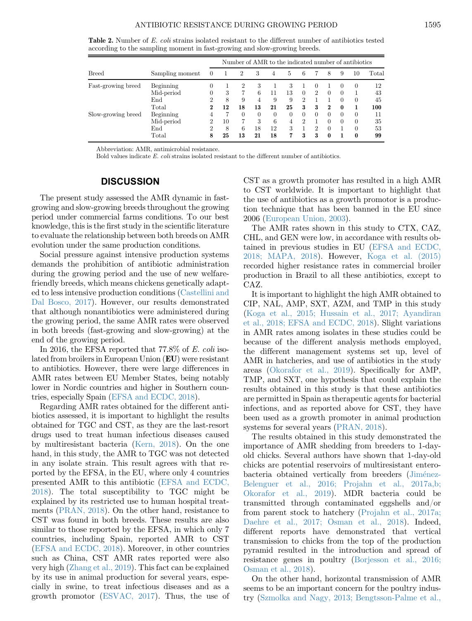<span id="page-4-0"></span>Table 2. Number of E. coli strains isolated resistant to the different number of antibiotics tested according to the sampling moment in fast-growing and slow-growing breeds.

|                    |                 | Number of AMR to the indicated number of antibiotics |    |          |          |          |          |                |                             |              |          |              |       |
|--------------------|-----------------|------------------------------------------------------|----|----------|----------|----------|----------|----------------|-----------------------------|--------------|----------|--------------|-------|
| <b>Breed</b>       | Sampling moment | $\left($                                             |    | 2        | 3        | 4        | 5        | 6              |                             | 8            | 9        | 10           | Total |
| Fast-growing breed | Beginning       | 0                                                    |    |          | З        |          | 3        |                | $^{(1)}$                    |              | $\theta$ | $\theta$     | 12    |
|                    | Mid-period      | 0                                                    | 3  |          | 6        | 11       | 13       | $\Omega$       | $\mathcal{D}_{\mathcal{L}}$ | $\Omega$     | $\Omega$ |              | 43    |
|                    | End             | $\overline{2}$                                       | 8  | 9        | 4        | 9        | 9        | $\overline{2}$ |                             |              | $\Omega$ | 0            | 45    |
|                    | $_{\rm Total}$  | 2                                                    | 12 | 18       | 13       | 21       | 25       | 3              | 3                           | $\bf{2}$     | $\bf{0}$ |              | 100   |
| Slow-growing breed | Beginning       | 4                                                    |    | $\Omega$ | $\Omega$ | $\Omega$ | $\theta$ | $\Omega$       | $\Omega$                    | $\Omega$     | $\Omega$ | 0            | 11    |
|                    | Mid-period      | 2                                                    | 10 |          | 3        | 6        | 4        | $\mathcal{D}$  |                             |              | $\Omega$ | $\Omega$     | 35    |
|                    | End             | 2                                                    | 8  | 6        | 18       | 12       | 3        |                | 2                           |              |          | 0            | 53    |
|                    | Total           | 8                                                    | 25 | 13       | 21       | 18       | 7        | 3              | 3                           | $\mathbf{0}$ |          | $\mathbf{0}$ | 99    |

Abbreviation: AMR, antimicrobial resistance.

Bold values indicate E. coli strains isolated resistant to the different number of antibiotics.

## **DISCUSSION**

The present study assessed the AMR dynamic in fastgrowing and slow-growing breeds throughout the growing period under commercial farms conditions. To our best knowledge, this is the first study in the scientific literature to evaluate the relationship between both breeds on AMR evolution under the same production conditions.

Social pressure against intensive production systems demands the prohibition of antibiotic administration during the growing period and the use of new welfarefriendly breeds, which means chickens genetically adapted to less intensive production conditions ([Castellini and](#page-5-5) [Dal Bosco, 2017](#page-5-5)). However, our results demonstrated that although nonantibiotics were administered during the growing period, the same AMR rates were observed in both breeds (fast-growing and slow-growing) at the end of the growing period.

In 2016, the EFSA reported that 77.8% of E. coli isolated from broilers in European Union (EU) were resistant to antibiotics. However, there were large differences in AMR rates between EU Member States, being notably lower in Nordic countries and higher in Southern countries, especially Spain ([EFSA and ECDC, 2018\)](#page-5-7).

Regarding AMR rates obtained for the different antibiotics assessed, it is important to highlight the results obtained for TGC and CST, as they are the last-resort drugs used to treat human infectious diseases caused by multiresistant bacteria ([Kern, 2018](#page-6-8)). On the one hand, in this study, the AMR to TGC was not detected in any isolate strain. This result agrees with that reported by the EFSA, in the EU, where only 4 countries presented AMR to this antibiotic [\(EFSA and ECDC,](#page-5-7) [2018\)](#page-5-7). The total susceptibility to TGC might be explained by its restricted use to human hospital treatments [\(PRAN, 2018\)](#page-6-9). On the other hand, resistance to CST was found in both breeds. These results are also similar to those reported by the EFSA, in which only 7 countries, including Spain, reported AMR to CST ([EFSA and ECDC, 2018](#page-5-7)). Moreover, in other countries such as China, CST AMR rates reported were also very high [\(Zhang et al., 2019\)](#page-6-10). This fact can be explained by its use in animal production for several years, especially in swine, to treat infectious diseases and as a growth promotor ([ESVAC, 2017\)](#page-5-1). Thus, the use of CST as a growth promoter has resulted in a high AMR to CST worldwide. It is important to highlight that the use of antibiotics as a growth promotor is a production technique that has been banned in the EU since 2006 [\(European Union, 2003](#page-5-10)).

The AMR rates shown in this study to CTX, CAZ, CHL, and GEN were low, in accordance with results obtained in previous studies in EU ([EFSA and ECDC,](#page-5-7) [2018; MAPA, 2018\)](#page-5-7). However, [Koga et al. \(2015\)](#page-6-11) recorded higher resistance rates in commercial broiler production in Brazil to all these antibiotics, except to CAZ.

It is important to highlight the high AMR obtained to CIP, NAL, AMP, SXT, AZM, and TMP in this study [\(Koga et al., 2015; Hussain et al., 2017; Ayandiran](#page-6-11) [et al., 2018; EFSA and ECDC, 2018](#page-6-11)). Slight variations in AMR rates among isolates in these studies could be because of the different analysis methods employed, the different management systems set up, level of AMR in hatcheries, and use of antibiotics in the study areas [\(Okorafor et al., 2019](#page-6-12)). Specifically for AMP, TMP, and SXT, one hypothesis that could explain the results obtained in this study is that these antibiotics are permitted in Spain as therapeutic agents for bacterial infections, and as reported above for CST, they have been used as a growth promoter in animal production systems for several years [\(PRAN, 2018](#page-6-9)).

The results obtained in this study demonstrated the importance of AMR shedding from breeders to 1-dayold chicks. Several authors have shown that 1-day-old chicks are potential reservoirs of multiresistant entero-bacteria obtained vertically from breeders [\(Jim](#page-5-11)é[nez-](#page-5-11)[Belenguer et al., 2016; Projahn et al., 2017a,b;](#page-5-11) [Okorafor et al., 2019](#page-5-11)). MDR bacteria could be transmitted through contaminated eggshells and/or from parent stock to hatchery [\(Projahn et al., 2017a;](#page-6-13) [Daehre et al., 2017; Osman et al., 2018\)](#page-6-13). Indeed, different reports have demonstrated that vertical transmission to chicks from the top of the production pyramid resulted in the introduction and spread of resistance genes in poultry ([Borjesson et al., 2016;](#page-5-12) [Osman et al., 2018\)](#page-5-12).

On the other hand, horizontal transmission of AMR seems to be an important concern for the poultry industry ([Szmolka and Nagy, 2013; Bengtsson-Palme et al.,](#page-6-14)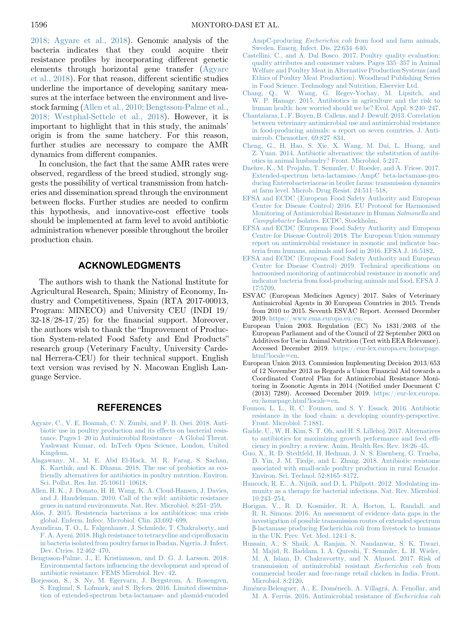[2018; Agyare et al., 2018\)](#page-6-14). Genomic analysis of the bacteria indicates that they could acquire their resistance profiles by incorporating different genetic elements through horizontal gene transfer [\(Agyare](#page-5-13) [et al., 2018](#page-5-13)). For that reason, different scientific studies underline the importance of developing sanitary measures at the interface between the environment and livestock farming [\(Allen et al., 2010; Bengtsson-Palme et al.,](#page-5-14) [2018; Westphal-Settele et al., 2018](#page-5-14)). However, it is important to highlight that in this study, the animals' origin is from the same hatchery. For this reason, further studies are necessary to compare the AMR dynamics from different companies.

In conclusion, the fact that the same AMR rates were observed, regardless of the breed studied, strongly suggests the possibility of vertical transmission from hatcheries and dissemination spread through the environment between flocks. Further studies are needed to confirm this hypothesis, and innovative-cost effective tools should be implemented at farm level to avoid antibiotic administration whenever possible throughout the broiler production chain.

## ACKNOWLEDGMENTS

The authors wish to thank the National Institute for Agricultural Research, Spain; Ministry of Economy, Industry and Competitiveness, Spain (RTA 2017-00013, Program: MINECO) and University CEU (INDI 19/ 32-18/28-17/25) for the financial support. Moreover, the authors wish to thank the "Improvement of Production System-related Food Safety and End Products" research group (Veterinary Faculty, University Cardenal Herrera-CEU) for their technical support. English text version was revised by N. Macowan English Language Service.

## REFERENCES

- <span id="page-5-13"></span>[Agyare, C., V. E. Boamah, C. N. Zumbi, and F. B. Osei. 2018. Anti](http://refhub.elsevier.com/S0032-5791(19)57810-5/sref1)[biotic use in poultry production and its effects on bacterial resis](http://refhub.elsevier.com/S0032-5791(19)57810-5/sref1)tance. Pages 1–[20 in Antimicrobial Resistance](http://refhub.elsevier.com/S0032-5791(19)57810-5/sref1) – A Global Threat. [Yashwant Kumar, ed. InTech Open Science, London, United](http://refhub.elsevier.com/S0032-5791(19)57810-5/sref1) [Kingdom](http://refhub.elsevier.com/S0032-5791(19)57810-5/sref1).
- [Alagawany, M., M. E. Abd El-Hack, M. R. Farag, S. Sachan,](http://refhub.elsevier.com/S0032-5791(19)57810-5/sref2) [K. Karthik, and K. Dhama. 2018. The use of probiotics as eco](http://refhub.elsevier.com/S0032-5791(19)57810-5/sref2)[friendly alternatives for antibiotics in poultry nutrition. Environ.](http://refhub.elsevier.com/S0032-5791(19)57810-5/sref2) [Sci. Pollut. Res. Int. 25:10611](http://refhub.elsevier.com/S0032-5791(19)57810-5/sref2)–10618.
- <span id="page-5-14"></span><span id="page-5-3"></span>[Allen, H. K., J. Donato, H. H. Wang, K. A. Cloud-Hansen, J. Davies,](http://refhub.elsevier.com/S0032-5791(19)57810-5/sref3) [and J. Handelsman. 2010. Call of the wild: antibiotic resistance](http://refhub.elsevier.com/S0032-5791(19)57810-5/sref3) [genes in natural environments. Nat. Rev. Microbiol. 8:251](http://refhub.elsevier.com/S0032-5791(19)57810-5/sref3)–259.
- [Al](http://refhub.elsevier.com/S0032-5791(19)57810-5/sref4)o[s, J. 2015. Resistencia bacteriana a los antibi](http://refhub.elsevier.com/S0032-5791(19)57810-5/sref4)o[ticos: una crisis](http://refhub.elsevier.com/S0032-5791(19)57810-5/sref4) [global. Enferm. Infecc. Microbiol. Clin. 33:692](http://refhub.elsevier.com/S0032-5791(19)57810-5/sref4)–699.
- [Ayandiran, T. O., L. Falgenhauer, J. Schmiede, T. Chakraborty, and](http://refhub.elsevier.com/S0032-5791(19)57810-5/sref5) [F. A. Ayeni. 2018. High resistance to tetracycline and cipro](http://refhub.elsevier.com/S0032-5791(19)57810-5/sref5)floxacin [in bacteria isolated from poultry farms in Ibadan, Nigeria. J. Infect.](http://refhub.elsevier.com/S0032-5791(19)57810-5/sref5) [Dev. Ctries. 12:462](http://refhub.elsevier.com/S0032-5791(19)57810-5/sref5)–470.
- <span id="page-5-12"></span>[Bengtsson-Palme, J., E. Kristiansson, and D. G. J. Larsson. 2018.](http://refhub.elsevier.com/S0032-5791(19)57810-5/sref8) Environmental factors infl[uencing the development and spread of](http://refhub.elsevier.com/S0032-5791(19)57810-5/sref8) [antibiotic resistance. FEMS Microbiol. Rev. 42.](http://refhub.elsevier.com/S0032-5791(19)57810-5/sref8)
- [Borjesson, S., S. Ny, M. Egervarn, J. Bergstrom, A. Rosengren,](http://refhub.elsevier.com/S0032-5791(19)57810-5/sref9) [S. Englund, S. Lofmark, and S. Byfors. 2016. Limited dissemina](http://refhub.elsevier.com/S0032-5791(19)57810-5/sref9)[tion of extended-spectrum beta-lactamase- and plasmid-encoded](http://refhub.elsevier.com/S0032-5791(19)57810-5/sref9)

AmpC-producing Escherichia coli [from food and farm animals,](http://refhub.elsevier.com/S0032-5791(19)57810-5/sref9) [Sweden. Emerg. Infect. Dis. 22:634](http://refhub.elsevier.com/S0032-5791(19)57810-5/sref9)–640.

- <span id="page-5-5"></span>[Castellini, C., and A. Dal Bosco. 2017. Poultry quality evaluation:](http://refhub.elsevier.com/S0032-5791(19)57810-5/sref10) [quality attributes and consumer values. Pages 335](http://refhub.elsevier.com/S0032-5791(19)57810-5/sref10)–357 in Animal [Welfare and Poultry Meat in Alternative Production Systems \(and](http://refhub.elsevier.com/S0032-5791(19)57810-5/sref10) [Ethics of Poultry Meat Production\). Woodhead Publishing Series](http://refhub.elsevier.com/S0032-5791(19)57810-5/sref10) [in Food Science, Technology and Nutrition, Elservier Ltd.](http://refhub.elsevier.com/S0032-5791(19)57810-5/sref10)
- [Chang, Q., W. Wang, G. Regev-Yochay, M. Lipsitch, and](http://refhub.elsevier.com/S0032-5791(19)57810-5/sref11) [W. P. Hanage. 2015. Antibiotics in agriculture and the risk to](http://refhub.elsevier.com/S0032-5791(19)57810-5/sref11) [human health: how worried should we be? Evol. Appl. 8:240](http://refhub.elsevier.com/S0032-5791(19)57810-5/sref11)–247.
- <span id="page-5-2"></span>[Chantziaras, I., F. Boyen, B. Callens, and J. Dewulf. 2013. Correlation](http://refhub.elsevier.com/S0032-5791(19)57810-5/sref12) [between veterinary antimicrobial use and antimicrobial resistance](http://refhub.elsevier.com/S0032-5791(19)57810-5/sref12) [in food-producing animals: a report on seven countries. J. Anti](http://refhub.elsevier.com/S0032-5791(19)57810-5/sref12)[microb. Chemother. 69:827](http://refhub.elsevier.com/S0032-5791(19)57810-5/sref12)–834.
- [Cheng, G., H. Hao, S. Xie, X. Wang, M. Dai, L. Huang, and](http://refhub.elsevier.com/S0032-5791(19)57810-5/sref13) [Z. Yuan. 2014. Antibiotic alternatives: the substitution of antibi](http://refhub.elsevier.com/S0032-5791(19)57810-5/sref13)[otics in animal husbandry? Front. Microbiol. 5:217.](http://refhub.elsevier.com/S0032-5791(19)57810-5/sref13)
- [Daehre, K., M. Projahn, T. Semmler, U. Roesler, and A. Friese. 2017.](http://refhub.elsevier.com/S0032-5791(19)57810-5/sref14) [Extended-spectrum beta-lactamase-/AmpC beta-lactamase-pro](http://refhub.elsevier.com/S0032-5791(19)57810-5/sref14)[ducing Enterobacteriaceae in broiler farms: transmission dynamics](http://refhub.elsevier.com/S0032-5791(19)57810-5/sref14) [at farm level. Microb. Drug Resist. 24:511](http://refhub.elsevier.com/S0032-5791(19)57810-5/sref14)–518.
- <span id="page-5-9"></span>[EFSA and ECDC \(European Food Safety Authority and European](http://refhub.elsevier.com/S0032-5791(19)57810-5/sref16) [Centre for Disease Control\) 2016. EU Protocol for Harmonised](http://refhub.elsevier.com/S0032-5791(19)57810-5/sref16) [Monitoring of Antimicrobial Resistance in Human](http://refhub.elsevier.com/S0032-5791(19)57810-5/sref16) Salmonella and Campylobacter [Isolates. ECDC, Stockholm](http://refhub.elsevier.com/S0032-5791(19)57810-5/sref16).
- <span id="page-5-7"></span>[EFSA and ECDC \(European Food Safety Authority and European](http://refhub.elsevier.com/S0032-5791(19)57810-5/sref17) [Centre for Disease Control\) 2018. The European Union summary](http://refhub.elsevier.com/S0032-5791(19)57810-5/sref17) [report on antimicrobial resistance in zoonotic and indicator bac](http://refhub.elsevier.com/S0032-5791(19)57810-5/sref17)[teria from humans, animals and food in 2016. EFSA J. 16:5182.](http://refhub.elsevier.com/S0032-5791(19)57810-5/sref17)
- <span id="page-5-6"></span>[EFSA and ECDC \(European Food Safety Authority and European](http://refhub.elsevier.com/S0032-5791(19)57810-5/sref18) [Centre for Disease Control\) 2019. Technical speci](http://refhub.elsevier.com/S0032-5791(19)57810-5/sref18)fications on [harmonised monitoring of antimicrobial resistance in zoonotic and](http://refhub.elsevier.com/S0032-5791(19)57810-5/sref18) [indicator bacteria from food-producing animals and food. EFSA J.](http://refhub.elsevier.com/S0032-5791(19)57810-5/sref18) [17:5709.](http://refhub.elsevier.com/S0032-5791(19)57810-5/sref18)
- <span id="page-5-1"></span>ESVAC (European Medicines Agency) 2017. Sales of Veterinary Antimicrobial Agents in 30 European Countries in 2015. Trends from 2010 to 2015. Seventh ESVAC Report. Accessed December 2019. [https://www.ema.europa.eu/en.](https://www.ema.europa.eu/en)
- <span id="page-5-10"></span>European Union 2003. Regulation (EC) No 1831/2003 of the European Parliament and of the Council of 22 September 2003 on Additives for Use in Animal Nutrition (Text with EEA Relevance). Accessed December 2019. [https://eur-lex.europa.eu/homepage.](https://eur-lex.europa.eu/homepage.html?locale=en) [html?locale](https://eur-lex.europa.eu/homepage.html?locale=en)=[en](https://eur-lex.europa.eu/homepage.html?locale=en).
- <span id="page-5-8"></span>European Union 2013. Commission Implementing Decision 2013/653 of 12 November 2013 as Regards a Union Financial Aid towards a Coordinated Control Plan for Antimicrobial Resistance Monitoring in Zoonotic Agents in 2014 (Notified under Document C (2013) 7289). Accessed December 2019. [https://eur-lex.europa.](https://eur-lex.europa.eu/homepage.html?locale=en) [eu/homepage.html?locale](https://eur-lex.europa.eu/homepage.html?locale=en)=[en.](https://eur-lex.europa.eu/homepage.html?locale=en)
- [Founou, L. L., R. C. Founou, and S. Y. Essack. 2016. Antibiotic](http://refhub.elsevier.com/S0032-5791(19)57810-5/sref22) [resistance in the food chain: a developing country-perspective.](http://refhub.elsevier.com/S0032-5791(19)57810-5/sref22) [Front. Microbiol. 7:1881.](http://refhub.elsevier.com/S0032-5791(19)57810-5/sref22)
- [Gadde, U., W. H. Kim, S. T. Oh, and H. S. Lillehoj. 2017. Alternatives](http://refhub.elsevier.com/S0032-5791(19)57810-5/sref23) [to antibiotics for maximizing growth performance and feed ef](http://refhub.elsevier.com/S0032-5791(19)57810-5/sref23)fi[ciency in poultry: a review. Anim. Health Res. Rev. 18:26](http://refhub.elsevier.com/S0032-5791(19)57810-5/sref23)–45.
- <span id="page-5-0"></span>[Guo, X., R. D. Stedtfeld, H. Hedman, J. N. S. Eisenberg, G. Trueba,](http://refhub.elsevier.com/S0032-5791(19)57810-5/sref24) [D. Yin, J. M. Tiedje, and L. Zhang. 2018. Antibiotic resistome](http://refhub.elsevier.com/S0032-5791(19)57810-5/sref24) [associated with small-scale poultry production in rural Ecuador.](http://refhub.elsevier.com/S0032-5791(19)57810-5/sref24) [Environ. Sci. Technol. 52:8165](http://refhub.elsevier.com/S0032-5791(19)57810-5/sref24)–8172.
- <span id="page-5-4"></span>[Hancock, R. E., A. Nijnik, and D. L. Philpott. 2012. Modulating im](http://refhub.elsevier.com/S0032-5791(19)57810-5/sref25)[munity as a therapy for bacterial infections. Nat. Rev. Microbiol.](http://refhub.elsevier.com/S0032-5791(19)57810-5/sref25) [10:243](http://refhub.elsevier.com/S0032-5791(19)57810-5/sref25)–254.
- [Horigan, V., R. D. Kosmider, R. A. Horton, L. Randall, and](http://refhub.elsevier.com/S0032-5791(19)57810-5/sref26) [R. R. Simons. 2016. An assessment of evidence data gaps in the](http://refhub.elsevier.com/S0032-5791(19)57810-5/sref26) [investigation of possible transmission routes of extended spectrum](http://refhub.elsevier.com/S0032-5791(19)57810-5/sref26)  $\beta$ [-lactamase producing Escherichia coli from livestock to humans](http://refhub.elsevier.com/S0032-5791(19)57810-5/sref26) [in the UK. Prev. Vet. Med. 124:1](http://refhub.elsevier.com/S0032-5791(19)57810-5/sref26)–8.
- [Hussain, A., S. Shaik, A. Ranjan, N. Nandanwar, S. K. Tiwari,](http://refhub.elsevier.com/S0032-5791(19)57810-5/sref27) [M. Majid, R. Baddam, I. A. Qureshi, T. Semmler, L. H. Wieler,](http://refhub.elsevier.com/S0032-5791(19)57810-5/sref27) [M. A. Islam, D. Chakravortty, and N. Ahmed. 2017. Risk of](http://refhub.elsevier.com/S0032-5791(19)57810-5/sref27) [transmission of antimicrobial resistant](http://refhub.elsevier.com/S0032-5791(19)57810-5/sref27) Escherichia coli from [commercial broiler and free-range retail chicken in India. Front.](http://refhub.elsevier.com/S0032-5791(19)57810-5/sref27) [Microbiol. 8:2120](http://refhub.elsevier.com/S0032-5791(19)57810-5/sref27).
- <span id="page-5-11"></span>[Jim](http://refhub.elsevier.com/S0032-5791(19)57810-5/sref28)é[nez-Belenguer, A., E. Dom](http://refhub.elsevier.com/S0032-5791(19)57810-5/sref28)é[nech, A. Villagr](http://refhub.elsevier.com/S0032-5791(19)57810-5/sref28)á[, A. Fenollar, and](http://refhub.elsevier.com/S0032-5791(19)57810-5/sref28) [M. A. Ferr](http://refhub.elsevier.com/S0032-5791(19)57810-5/sref28)ú[s. 2016. Antimicrobial resistance of](http://refhub.elsevier.com/S0032-5791(19)57810-5/sref28) *Escherichia coli*